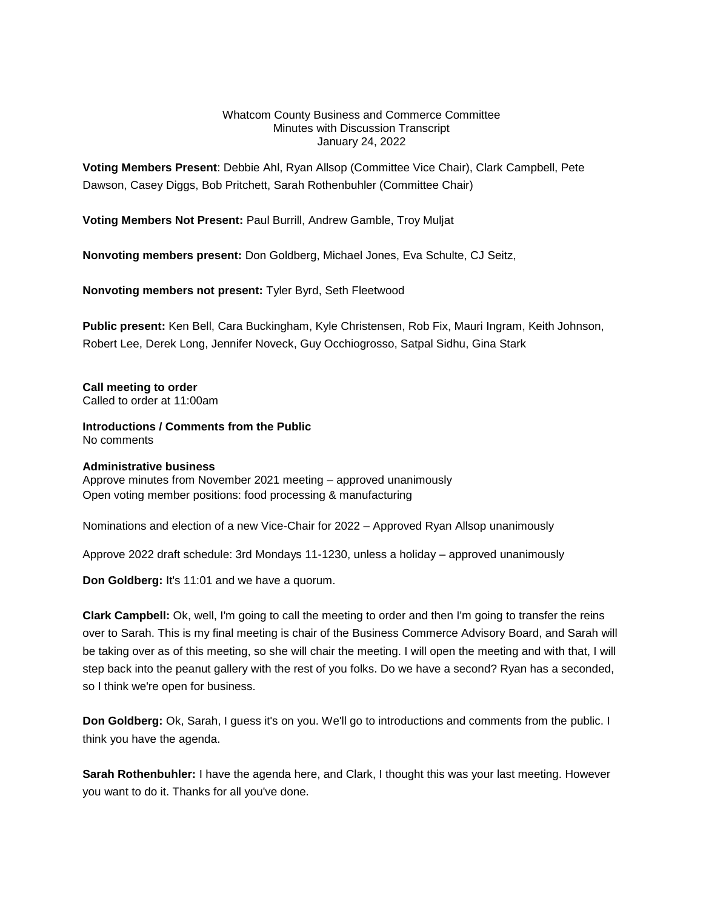#### Whatcom County Business and Commerce Committee Minutes with Discussion Transcript January 24, 2022

**Voting Members Present**: Debbie Ahl, Ryan Allsop (Committee Vice Chair), Clark Campbell, Pete Dawson, Casey Diggs, Bob Pritchett, Sarah Rothenbuhler (Committee Chair)

**Voting Members Not Present:** Paul Burrill, Andrew Gamble, Troy Muljat

**Nonvoting members present:** Don Goldberg, Michael Jones, Eva Schulte, CJ Seitz,

**Nonvoting members not present:** Tyler Byrd, Seth Fleetwood

**Public present:** Ken Bell, Cara Buckingham, Kyle Christensen, Rob Fix, Mauri Ingram, Keith Johnson, Robert Lee, Derek Long, Jennifer Noveck, Guy Occhiogrosso, Satpal Sidhu, Gina Stark

**Call meeting to order** Called to order at 11:00am

**Introductions / Comments from the Public** No comments

### **Administrative business**

Approve minutes from November 2021 meeting – approved unanimously Open voting member positions: food processing & manufacturing

Nominations and election of a new Vice-Chair for 2022 – Approved Ryan Allsop unanimously

Approve 2022 draft schedule: 3rd Mondays 11-1230, unless a holiday – approved unanimously

**Don Goldberg:** It's 11:01 and we have a quorum.

**Clark Campbell:** Ok, well, I'm going to call the meeting to order and then I'm going to transfer the reins over to Sarah. This is my final meeting is chair of the Business Commerce Advisory Board, and Sarah will be taking over as of this meeting, so she will chair the meeting. I will open the meeting and with that, I will step back into the peanut gallery with the rest of you folks. Do we have a second? Ryan has a seconded, so I think we're open for business.

**Don Goldberg:** Ok, Sarah, I guess it's on you. We'll go to introductions and comments from the public. I think you have the agenda.

**Sarah Rothenbuhler:** I have the agenda here, and Clark, I thought this was your last meeting. However you want to do it. Thanks for all you've done.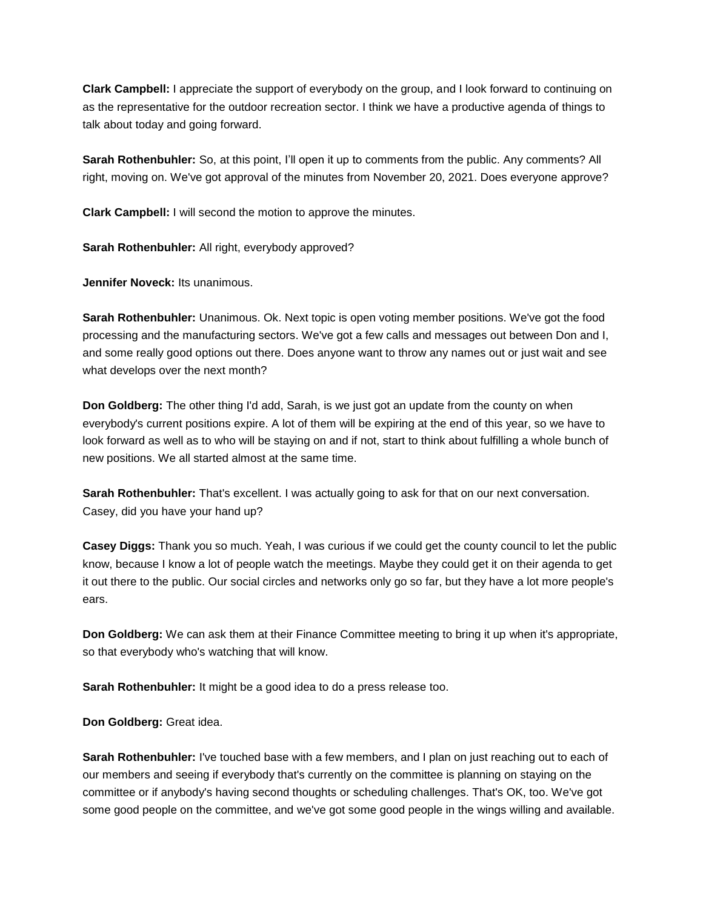**Clark Campbell:** I appreciate the support of everybody on the group, and I look forward to continuing on as the representative for the outdoor recreation sector. I think we have a productive agenda of things to talk about today and going forward.

**Sarah Rothenbuhler:** So, at this point, I'll open it up to comments from the public. Any comments? All right, moving on. We've got approval of the minutes from November 20, 2021. Does everyone approve?

**Clark Campbell:** I will second the motion to approve the minutes.

**Sarah Rothenbuhler:** All right, everybody approved?

**Jennifer Noveck:** Its unanimous.

**Sarah Rothenbuhler:** Unanimous. Ok. Next topic is open voting member positions. We've got the food processing and the manufacturing sectors. We've got a few calls and messages out between Don and I, and some really good options out there. Does anyone want to throw any names out or just wait and see what develops over the next month?

**Don Goldberg:** The other thing I'd add, Sarah, is we just got an update from the county on when everybody's current positions expire. A lot of them will be expiring at the end of this year, so we have to look forward as well as to who will be staying on and if not, start to think about fulfilling a whole bunch of new positions. We all started almost at the same time.

**Sarah Rothenbuhler:** That's excellent. I was actually going to ask for that on our next conversation. Casey, did you have your hand up?

**Casey Diggs:** Thank you so much. Yeah, I was curious if we could get the county council to let the public know, because I know a lot of people watch the meetings. Maybe they could get it on their agenda to get it out there to the public. Our social circles and networks only go so far, but they have a lot more people's ears.

**Don Goldberg:** We can ask them at their Finance Committee meeting to bring it up when it's appropriate, so that everybody who's watching that will know.

**Sarah Rothenbuhler:** It might be a good idea to do a press release too.

**Don Goldberg:** Great idea.

**Sarah Rothenbuhler:** I've touched base with a few members, and I plan on just reaching out to each of our members and seeing if everybody that's currently on the committee is planning on staying on the committee or if anybody's having second thoughts or scheduling challenges. That's OK, too. We've got some good people on the committee, and we've got some good people in the wings willing and available.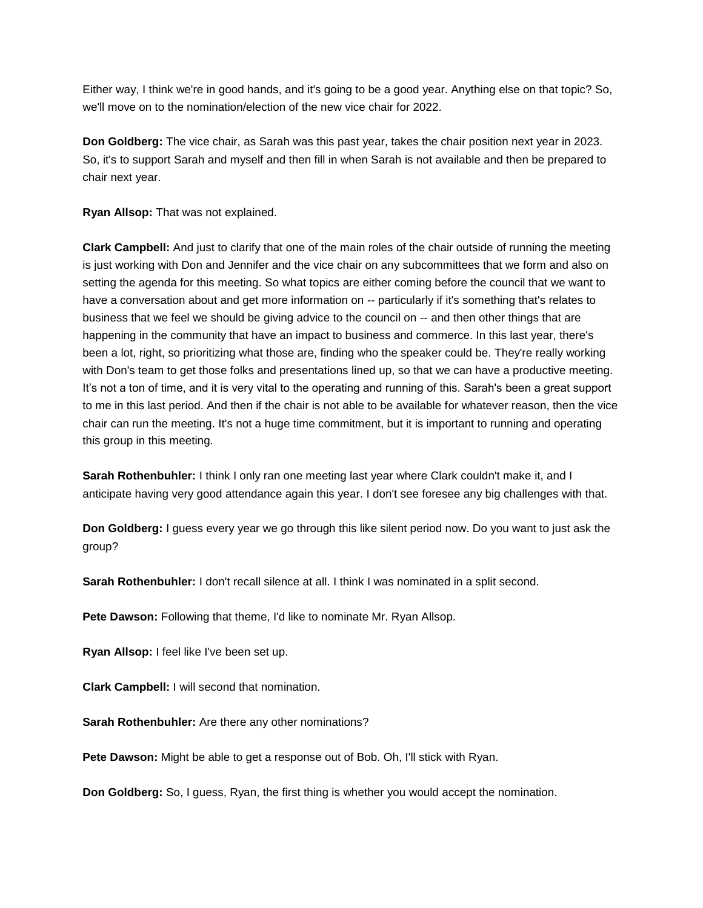Either way, I think we're in good hands, and it's going to be a good year. Anything else on that topic? So, we'll move on to the nomination/election of the new vice chair for 2022.

**Don Goldberg:** The vice chair, as Sarah was this past year, takes the chair position next year in 2023. So, it's to support Sarah and myself and then fill in when Sarah is not available and then be prepared to chair next year.

**Ryan Allsop:** That was not explained.

**Clark Campbell:** And just to clarify that one of the main roles of the chair outside of running the meeting is just working with Don and Jennifer and the vice chair on any subcommittees that we form and also on setting the agenda for this meeting. So what topics are either coming before the council that we want to have a conversation about and get more information on -- particularly if it's something that's relates to business that we feel we should be giving advice to the council on -- and then other things that are happening in the community that have an impact to business and commerce. In this last year, there's been a lot, right, so prioritizing what those are, finding who the speaker could be. They're really working with Don's team to get those folks and presentations lined up, so that we can have a productive meeting. It's not a ton of time, and it is very vital to the operating and running of this. Sarah's been a great support to me in this last period. And then if the chair is not able to be available for whatever reason, then the vice chair can run the meeting. It's not a huge time commitment, but it is important to running and operating this group in this meeting.

**Sarah Rothenbuhler:** I think I only ran one meeting last year where Clark couldn't make it, and I anticipate having very good attendance again this year. I don't see foresee any big challenges with that.

**Don Goldberg:** I guess every year we go through this like silent period now. Do you want to just ask the group?

**Sarah Rothenbuhler:** I don't recall silence at all. I think I was nominated in a split second.

**Pete Dawson:** Following that theme, I'd like to nominate Mr. Ryan Allsop.

**Ryan Allsop:** I feel like I've been set up.

**Clark Campbell:** I will second that nomination.

**Sarah Rothenbuhler:** Are there any other nominations?

**Pete Dawson:** Might be able to get a response out of Bob. Oh, I'll stick with Ryan.

**Don Goldberg:** So, I guess, Ryan, the first thing is whether you would accept the nomination.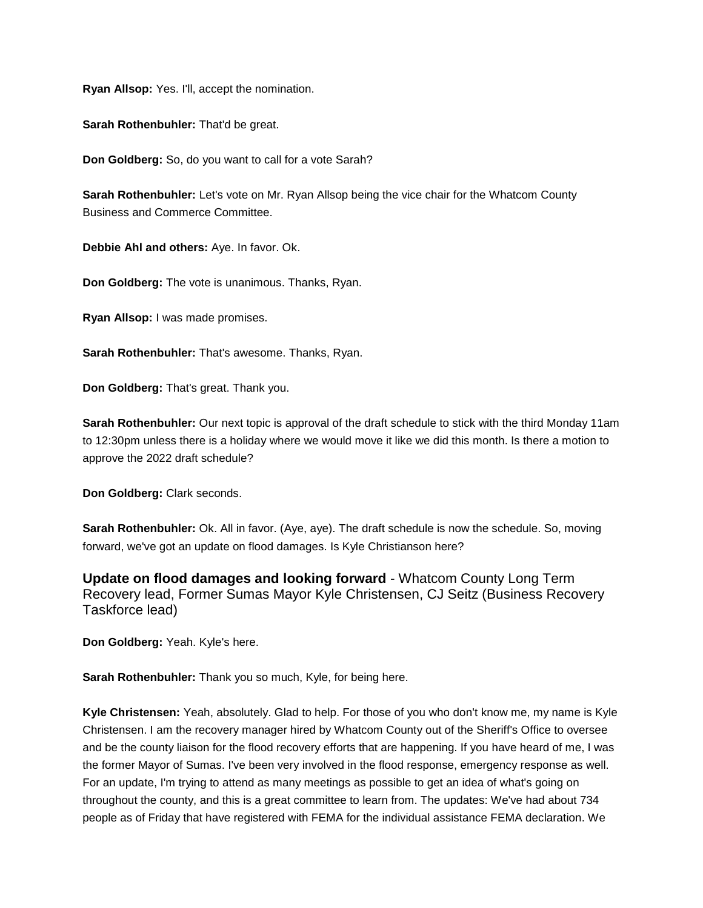**Ryan Allsop:** Yes. I'll, accept the nomination.

**Sarah Rothenbuhler:** That'd be great.

**Don Goldberg:** So, do you want to call for a vote Sarah?

**Sarah Rothenbuhler:** Let's vote on Mr. Ryan Allsop being the vice chair for the Whatcom County Business and Commerce Committee.

**Debbie Ahl and others:** Aye. In favor. Ok.

**Don Goldberg:** The vote is unanimous. Thanks, Ryan.

**Ryan Allsop:** I was made promises.

**Sarah Rothenbuhler:** That's awesome. Thanks, Ryan.

**Don Goldberg:** That's great. Thank you.

**Sarah Rothenbuhler:** Our next topic is approval of the draft schedule to stick with the third Monday 11am to 12:30pm unless there is a holiday where we would move it like we did this month. Is there a motion to approve the 2022 draft schedule?

**Don Goldberg:** Clark seconds.

**Sarah Rothenbuhler:** Ok. All in favor. (Aye, aye). The draft schedule is now the schedule. So, moving forward, we've got an update on flood damages. Is Kyle Christianson here?

**Update on flood damages and looking forward** - Whatcom County Long Term Recovery lead, Former Sumas Mayor Kyle Christensen, CJ Seitz (Business Recovery Taskforce lead)

**Don Goldberg:** Yeah. Kyle's here.

**Sarah Rothenbuhler:** Thank you so much, Kyle, for being here.

**Kyle Christensen:** Yeah, absolutely. Glad to help. For those of you who don't know me, my name is Kyle Christensen. I am the recovery manager hired by Whatcom County out of the Sheriff's Office to oversee and be the county liaison for the flood recovery efforts that are happening. If you have heard of me, I was the former Mayor of Sumas. I've been very involved in the flood response, emergency response as well. For an update, I'm trying to attend as many meetings as possible to get an idea of what's going on throughout the county, and this is a great committee to learn from. The updates: We've had about 734 people as of Friday that have registered with FEMA for the individual assistance FEMA declaration. We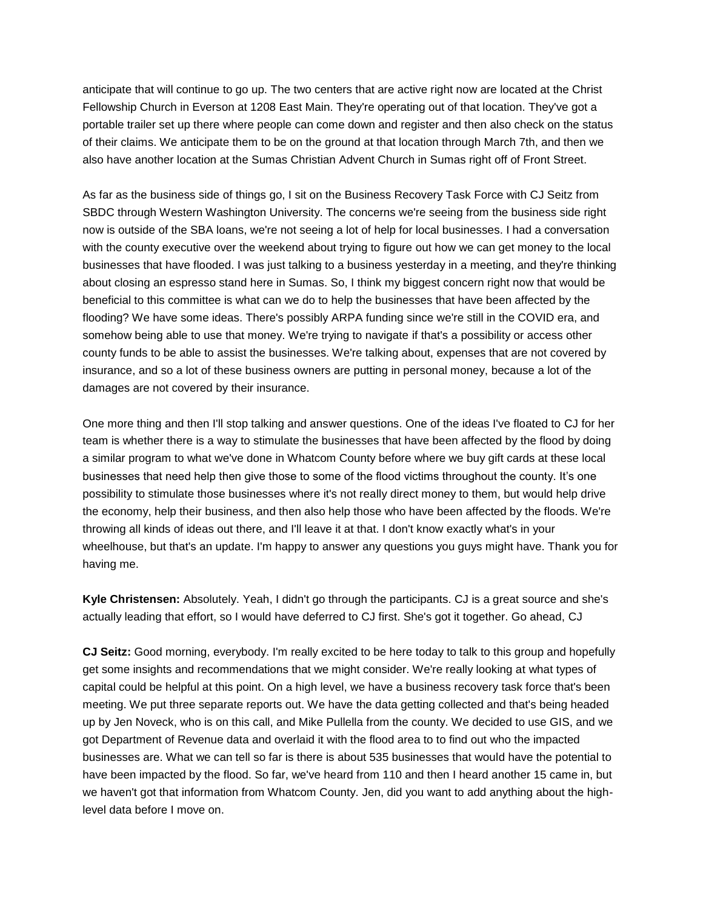anticipate that will continue to go up. The two centers that are active right now are located at the Christ Fellowship Church in Everson at 1208 East Main. They're operating out of that location. They've got a portable trailer set up there where people can come down and register and then also check on the status of their claims. We anticipate them to be on the ground at that location through March 7th, and then we also have another location at the Sumas Christian Advent Church in Sumas right off of Front Street.

As far as the business side of things go, I sit on the Business Recovery Task Force with CJ Seitz from SBDC through Western Washington University. The concerns we're seeing from the business side right now is outside of the SBA loans, we're not seeing a lot of help for local businesses. I had a conversation with the county executive over the weekend about trying to figure out how we can get money to the local businesses that have flooded. I was just talking to a business yesterday in a meeting, and they're thinking about closing an espresso stand here in Sumas. So, I think my biggest concern right now that would be beneficial to this committee is what can we do to help the businesses that have been affected by the flooding? We have some ideas. There's possibly ARPA funding since we're still in the COVID era, and somehow being able to use that money. We're trying to navigate if that's a possibility or access other county funds to be able to assist the businesses. We're talking about, expenses that are not covered by insurance, and so a lot of these business owners are putting in personal money, because a lot of the damages are not covered by their insurance.

One more thing and then I'll stop talking and answer questions. One of the ideas I've floated to CJ for her team is whether there is a way to stimulate the businesses that have been affected by the flood by doing a similar program to what we've done in Whatcom County before where we buy gift cards at these local businesses that need help then give those to some of the flood victims throughout the county. It's one possibility to stimulate those businesses where it's not really direct money to them, but would help drive the economy, help their business, and then also help those who have been affected by the floods. We're throwing all kinds of ideas out there, and I'll leave it at that. I don't know exactly what's in your wheelhouse, but that's an update. I'm happy to answer any questions you guys might have. Thank you for having me.

**Kyle Christensen:** Absolutely. Yeah, I didn't go through the participants. CJ is a great source and she's actually leading that effort, so I would have deferred to CJ first. She's got it together. Go ahead, CJ

**CJ Seitz:** Good morning, everybody. I'm really excited to be here today to talk to this group and hopefully get some insights and recommendations that we might consider. We're really looking at what types of capital could be helpful at this point. On a high level, we have a business recovery task force that's been meeting. We put three separate reports out. We have the data getting collected and that's being headed up by Jen Noveck, who is on this call, and Mike Pullella from the county. We decided to use GIS, and we got Department of Revenue data and overlaid it with the flood area to to find out who the impacted businesses are. What we can tell so far is there is about 535 businesses that would have the potential to have been impacted by the flood. So far, we've heard from 110 and then I heard another 15 came in, but we haven't got that information from Whatcom County. Jen, did you want to add anything about the highlevel data before I move on.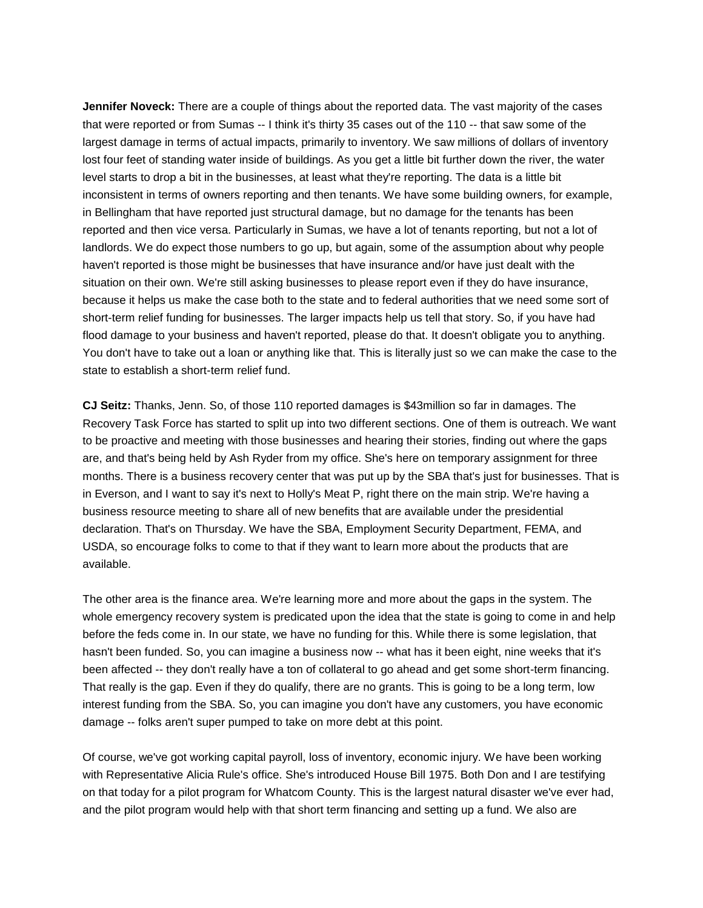**Jennifer Noveck:** There are a couple of things about the reported data. The vast majority of the cases that were reported or from Sumas -- I think it's thirty 35 cases out of the 110 -- that saw some of the largest damage in terms of actual impacts, primarily to inventory. We saw millions of dollars of inventory lost four feet of standing water inside of buildings. As you get a little bit further down the river, the water level starts to drop a bit in the businesses, at least what they're reporting. The data is a little bit inconsistent in terms of owners reporting and then tenants. We have some building owners, for example, in Bellingham that have reported just structural damage, but no damage for the tenants has been reported and then vice versa. Particularly in Sumas, we have a lot of tenants reporting, but not a lot of landlords. We do expect those numbers to go up, but again, some of the assumption about why people haven't reported is those might be businesses that have insurance and/or have just dealt with the situation on their own. We're still asking businesses to please report even if they do have insurance, because it helps us make the case both to the state and to federal authorities that we need some sort of short-term relief funding for businesses. The larger impacts help us tell that story. So, if you have had flood damage to your business and haven't reported, please do that. It doesn't obligate you to anything. You don't have to take out a loan or anything like that. This is literally just so we can make the case to the state to establish a short-term relief fund.

**CJ Seitz:** Thanks, Jenn. So, of those 110 reported damages is \$43million so far in damages. The Recovery Task Force has started to split up into two different sections. One of them is outreach. We want to be proactive and meeting with those businesses and hearing their stories, finding out where the gaps are, and that's being held by Ash Ryder from my office. She's here on temporary assignment for three months. There is a business recovery center that was put up by the SBA that's just for businesses. That is in Everson, and I want to say it's next to Holly's Meat P, right there on the main strip. We're having a business resource meeting to share all of new benefits that are available under the presidential declaration. That's on Thursday. We have the SBA, Employment Security Department, FEMA, and USDA, so encourage folks to come to that if they want to learn more about the products that are available.

The other area is the finance area. We're learning more and more about the gaps in the system. The whole emergency recovery system is predicated upon the idea that the state is going to come in and help before the feds come in. In our state, we have no funding for this. While there is some legislation, that hasn't been funded. So, you can imagine a business now -- what has it been eight, nine weeks that it's been affected -- they don't really have a ton of collateral to go ahead and get some short-term financing. That really is the gap. Even if they do qualify, there are no grants. This is going to be a long term, low interest funding from the SBA. So, you can imagine you don't have any customers, you have economic damage -- folks aren't super pumped to take on more debt at this point.

Of course, we've got working capital payroll, loss of inventory, economic injury. We have been working with Representative Alicia Rule's office. She's introduced House Bill 1975. Both Don and I are testifying on that today for a pilot program for Whatcom County. This is the largest natural disaster we've ever had, and the pilot program would help with that short term financing and setting up a fund. We also are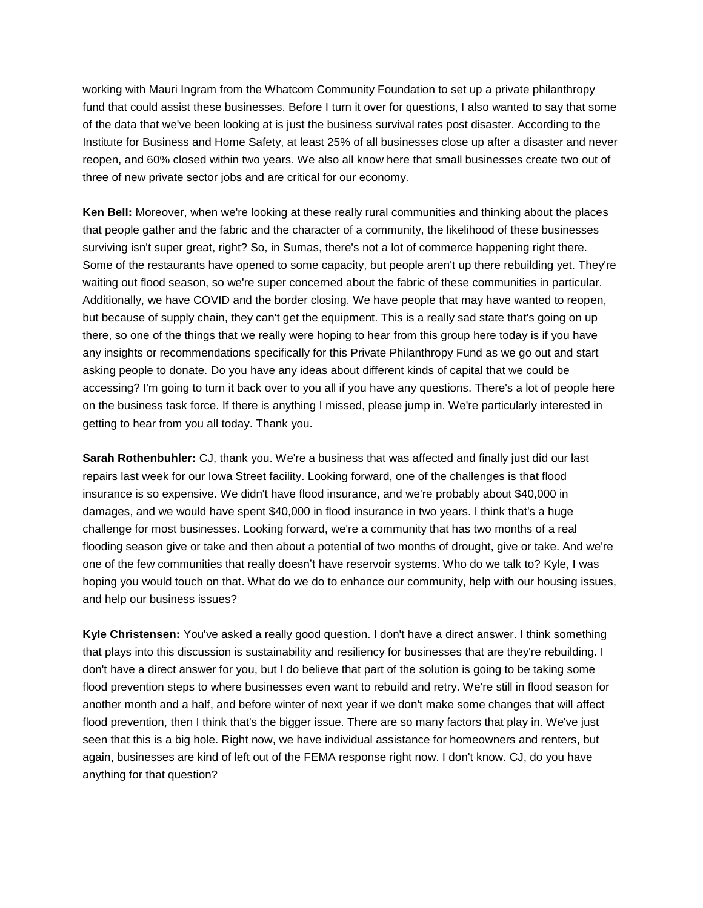working with Mauri Ingram from the Whatcom Community Foundation to set up a private philanthropy fund that could assist these businesses. Before I turn it over for questions, I also wanted to say that some of the data that we've been looking at is just the business survival rates post disaster. According to the Institute for Business and Home Safety, at least 25% of all businesses close up after a disaster and never reopen, and 60% closed within two years. We also all know here that small businesses create two out of three of new private sector jobs and are critical for our economy.

**Ken Bell:** Moreover, when we're looking at these really rural communities and thinking about the places that people gather and the fabric and the character of a community, the likelihood of these businesses surviving isn't super great, right? So, in Sumas, there's not a lot of commerce happening right there. Some of the restaurants have opened to some capacity, but people aren't up there rebuilding yet. They're waiting out flood season, so we're super concerned about the fabric of these communities in particular. Additionally, we have COVID and the border closing. We have people that may have wanted to reopen, but because of supply chain, they can't get the equipment. This is a really sad state that's going on up there, so one of the things that we really were hoping to hear from this group here today is if you have any insights or recommendations specifically for this Private Philanthropy Fund as we go out and start asking people to donate. Do you have any ideas about different kinds of capital that we could be accessing? I'm going to turn it back over to you all if you have any questions. There's a lot of people here on the business task force. If there is anything I missed, please jump in. We're particularly interested in getting to hear from you all today. Thank you.

**Sarah Rothenbuhler:** CJ, thank you. We're a business that was affected and finally just did our last repairs last week for our Iowa Street facility. Looking forward, one of the challenges is that flood insurance is so expensive. We didn't have flood insurance, and we're probably about \$40,000 in damages, and we would have spent \$40,000 in flood insurance in two years. I think that's a huge challenge for most businesses. Looking forward, we're a community that has two months of a real flooding season give or take and then about a potential of two months of drought, give or take. And we're one of the few communities that really doesn't have reservoir systems. Who do we talk to? Kyle, I was hoping you would touch on that. What do we do to enhance our community, help with our housing issues, and help our business issues?

**Kyle Christensen:** You've asked a really good question. I don't have a direct answer. I think something that plays into this discussion is sustainability and resiliency for businesses that are they're rebuilding. I don't have a direct answer for you, but I do believe that part of the solution is going to be taking some flood prevention steps to where businesses even want to rebuild and retry. We're still in flood season for another month and a half, and before winter of next year if we don't make some changes that will affect flood prevention, then I think that's the bigger issue. There are so many factors that play in. We've just seen that this is a big hole. Right now, we have individual assistance for homeowners and renters, but again, businesses are kind of left out of the FEMA response right now. I don't know. CJ, do you have anything for that question?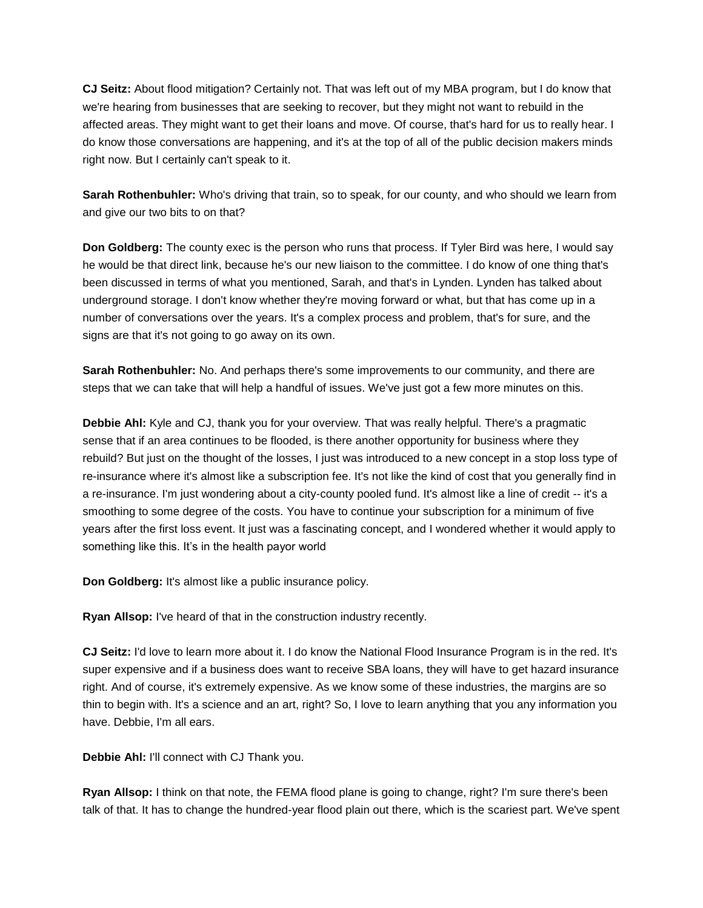**CJ Seitz:** About flood mitigation? Certainly not. That was left out of my MBA program, but I do know that we're hearing from businesses that are seeking to recover, but they might not want to rebuild in the affected areas. They might want to get their loans and move. Of course, that's hard for us to really hear. I do know those conversations are happening, and it's at the top of all of the public decision makers minds right now. But I certainly can't speak to it.

**Sarah Rothenbuhler:** Who's driving that train, so to speak, for our county, and who should we learn from and give our two bits to on that?

**Don Goldberg:** The county exec is the person who runs that process. If Tyler Bird was here, I would say he would be that direct link, because he's our new liaison to the committee. I do know of one thing that's been discussed in terms of what you mentioned, Sarah, and that's in Lynden. Lynden has talked about underground storage. I don't know whether they're moving forward or what, but that has come up in a number of conversations over the years. It's a complex process and problem, that's for sure, and the signs are that it's not going to go away on its own.

**Sarah Rothenbuhler:** No. And perhaps there's some improvements to our community, and there are steps that we can take that will help a handful of issues. We've just got a few more minutes on this.

**Debbie Ahl:** Kyle and CJ, thank you for your overview. That was really helpful. There's a pragmatic sense that if an area continues to be flooded, is there another opportunity for business where they rebuild? But just on the thought of the losses, I just was introduced to a new concept in a stop loss type of re-insurance where it's almost like a subscription fee. It's not like the kind of cost that you generally find in a re-insurance. I'm just wondering about a city-county pooled fund. It's almost like a line of credit -- it's a smoothing to some degree of the costs. You have to continue your subscription for a minimum of five years after the first loss event. It just was a fascinating concept, and I wondered whether it would apply to something like this. It's in the health payor world

**Don Goldberg:** It's almost like a public insurance policy.

**Ryan Allsop:** I've heard of that in the construction industry recently.

**CJ Seitz:** I'd love to learn more about it. I do know the National Flood Insurance Program is in the red. It's super expensive and if a business does want to receive SBA loans, they will have to get hazard insurance right. And of course, it's extremely expensive. As we know some of these industries, the margins are so thin to begin with. It's a science and an art, right? So, I love to learn anything that you any information you have. Debbie, I'm all ears.

**Debbie Ahl:** I'll connect with CJ Thank you.

**Ryan Allsop:** I think on that note, the FEMA flood plane is going to change, right? I'm sure there's been talk of that. It has to change the hundred-year flood plain out there, which is the scariest part. We've spent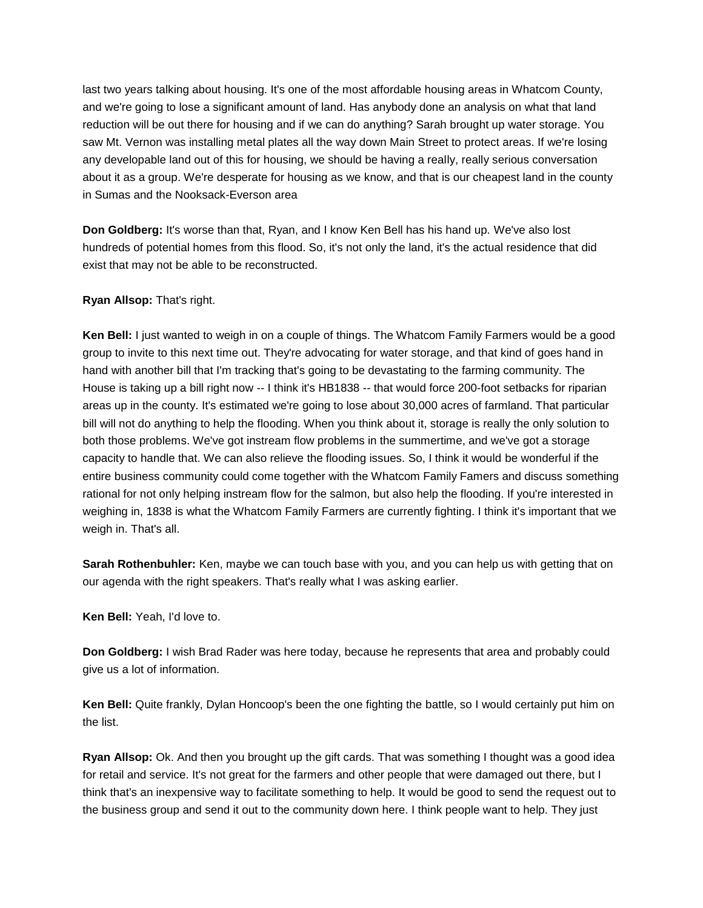last two years talking about housing. It's one of the most affordable housing areas in Whatcom County, and we're going to lose a significant amount of land. Has anybody done an analysis on what that land reduction will be out there for housing and if we can do anything? Sarah brought up water storage. You saw Mt. Vernon was installing metal plates all the way down Main Street to protect areas. If we're losing any developable land out of this for housing, we should be having a really, really serious conversation about it as a group. We're desperate for housing as we know, and that is our cheapest land in the county in Sumas and the Nooksack-Everson area

**Don Goldberg:** It's worse than that, Ryan, and I know Ken Bell has his hand up. We've also lost hundreds of potential homes from this flood. So, it's not only the land, it's the actual residence that did exist that may not be able to be reconstructed.

## **Ryan Allsop:** That's right.

**Ken Bell:** I just wanted to weigh in on a couple of things. The Whatcom Family Farmers would be a good group to invite to this next time out. They're advocating for water storage, and that kind of goes hand in hand with another bill that I'm tracking that's going to be devastating to the farming community. The House is taking up a bill right now -- I think it's HB1838 -- that would force 200-foot setbacks for riparian areas up in the county. It's estimated we're going to lose about 30,000 acres of farmland. That particular bill will not do anything to help the flooding. When you think about it, storage is really the only solution to both those problems. We've got instream flow problems in the summertime, and we've got a storage capacity to handle that. We can also relieve the flooding issues. So, I think it would be wonderful if the entire business community could come together with the Whatcom Family Famers and discuss something rational for not only helping instream flow for the salmon, but also help the flooding. If you're interested in weighing in, 1838 is what the Whatcom Family Farmers are currently fighting. I think it's important that we weigh in. That's all.

**Sarah Rothenbuhler:** Ken, maybe we can touch base with you, and you can help us with getting that on our agenda with the right speakers. That's really what I was asking earlier.

**Ken Bell:** Yeah, I'd love to.

**Don Goldberg:** I wish Brad Rader was here today, because he represents that area and probably could give us a lot of information.

**Ken Bell:** Quite frankly, Dylan Honcoop's been the one fighting the battle, so I would certainly put him on the list.

**Ryan Allsop:** Ok. And then you brought up the gift cards. That was something I thought was a good idea for retail and service. It's not great for the farmers and other people that were damaged out there, but I think that's an inexpensive way to facilitate something to help. It would be good to send the request out to the business group and send it out to the community down here. I think people want to help. They just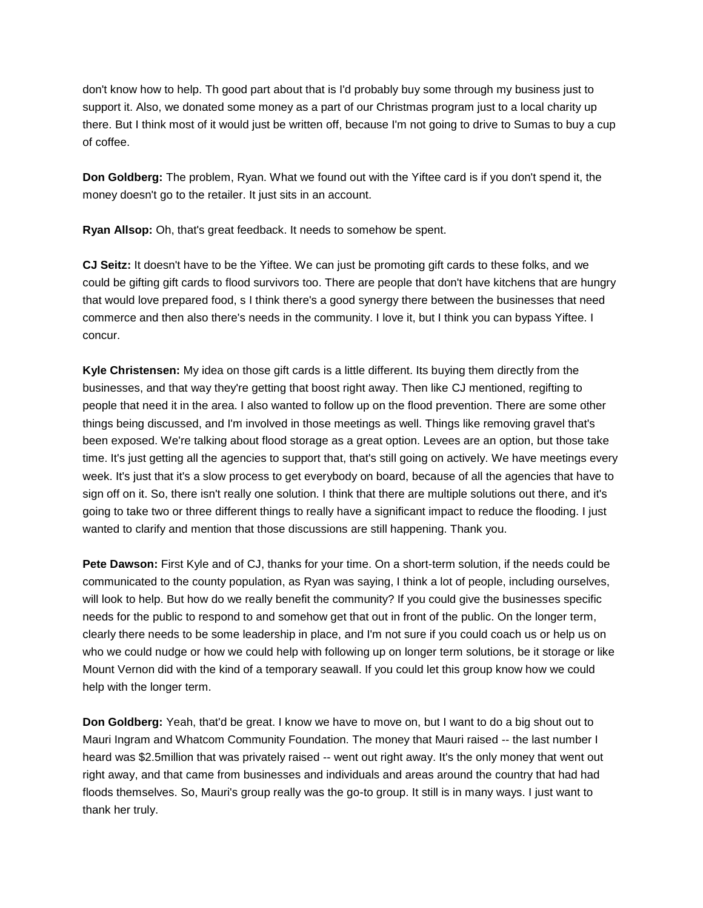don't know how to help. Th good part about that is I'd probably buy some through my business just to support it. Also, we donated some money as a part of our Christmas program just to a local charity up there. But I think most of it would just be written off, because I'm not going to drive to Sumas to buy a cup of coffee.

**Don Goldberg:** The problem, Ryan. What we found out with the Yiftee card is if you don't spend it, the money doesn't go to the retailer. It just sits in an account.

**Ryan Allsop:** Oh, that's great feedback. It needs to somehow be spent.

**CJ Seitz:** It doesn't have to be the Yiftee. We can just be promoting gift cards to these folks, and we could be gifting gift cards to flood survivors too. There are people that don't have kitchens that are hungry that would love prepared food, s I think there's a good synergy there between the businesses that need commerce and then also there's needs in the community. I love it, but I think you can bypass Yiftee. I concur.

**Kyle Christensen:** My idea on those gift cards is a little different. Its buying them directly from the businesses, and that way they're getting that boost right away. Then like CJ mentioned, regifting to people that need it in the area. I also wanted to follow up on the flood prevention. There are some other things being discussed, and I'm involved in those meetings as well. Things like removing gravel that's been exposed. We're talking about flood storage as a great option. Levees are an option, but those take time. It's just getting all the agencies to support that, that's still going on actively. We have meetings every week. It's just that it's a slow process to get everybody on board, because of all the agencies that have to sign off on it. So, there isn't really one solution. I think that there are multiple solutions out there, and it's going to take two or three different things to really have a significant impact to reduce the flooding. I just wanted to clarify and mention that those discussions are still happening. Thank you.

**Pete Dawson:** First Kyle and of CJ, thanks for your time. On a short-term solution, if the needs could be communicated to the county population, as Ryan was saying, I think a lot of people, including ourselves, will look to help. But how do we really benefit the community? If you could give the businesses specific needs for the public to respond to and somehow get that out in front of the public. On the longer term, clearly there needs to be some leadership in place, and I'm not sure if you could coach us or help us on who we could nudge or how we could help with following up on longer term solutions, be it storage or like Mount Vernon did with the kind of a temporary seawall. If you could let this group know how we could help with the longer term.

**Don Goldberg:** Yeah, that'd be great. I know we have to move on, but I want to do a big shout out to Mauri Ingram and Whatcom Community Foundation. The money that Mauri raised -- the last number I heard was \$2.5million that was privately raised -- went out right away. It's the only money that went out right away, and that came from businesses and individuals and areas around the country that had had floods themselves. So, Mauri's group really was the go-to group. It still is in many ways. I just want to thank her truly.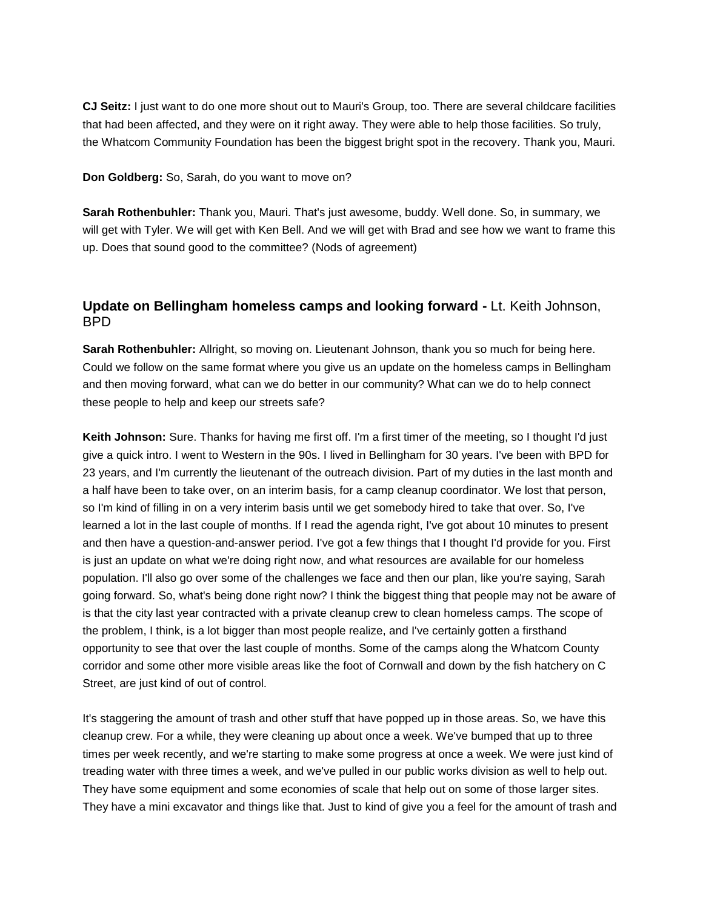**CJ Seitz:** I just want to do one more shout out to Mauri's Group, too. There are several childcare facilities that had been affected, and they were on it right away. They were able to help those facilities. So truly, the Whatcom Community Foundation has been the biggest bright spot in the recovery. Thank you, Mauri.

**Don Goldberg:** So, Sarah, do you want to move on?

**Sarah Rothenbuhler:** Thank you, Mauri. That's just awesome, buddy. Well done. So, in summary, we will get with Tyler. We will get with Ken Bell. And we will get with Brad and see how we want to frame this up. Does that sound good to the committee? (Nods of agreement)

## **Update on Bellingham homeless camps and looking forward -** Lt. Keith Johnson, BPD

**Sarah Rothenbuhler:** Allright, so moving on. Lieutenant Johnson, thank you so much for being here. Could we follow on the same format where you give us an update on the homeless camps in Bellingham and then moving forward, what can we do better in our community? What can we do to help connect these people to help and keep our streets safe?

**Keith Johnson:** Sure. Thanks for having me first off. I'm a first timer of the meeting, so I thought I'd just give a quick intro. I went to Western in the 90s. I lived in Bellingham for 30 years. I've been with BPD for 23 years, and I'm currently the lieutenant of the outreach division. Part of my duties in the last month and a half have been to take over, on an interim basis, for a camp cleanup coordinator. We lost that person, so I'm kind of filling in on a very interim basis until we get somebody hired to take that over. So, I've learned a lot in the last couple of months. If I read the agenda right, I've got about 10 minutes to present and then have a question-and-answer period. I've got a few things that I thought I'd provide for you. First is just an update on what we're doing right now, and what resources are available for our homeless population. I'll also go over some of the challenges we face and then our plan, like you're saying, Sarah going forward. So, what's being done right now? I think the biggest thing that people may not be aware of is that the city last year contracted with a private cleanup crew to clean homeless camps. The scope of the problem, I think, is a lot bigger than most people realize, and I've certainly gotten a firsthand opportunity to see that over the last couple of months. Some of the camps along the Whatcom County corridor and some other more visible areas like the foot of Cornwall and down by the fish hatchery on C Street, are just kind of out of control.

It's staggering the amount of trash and other stuff that have popped up in those areas. So, we have this cleanup crew. For a while, they were cleaning up about once a week. We've bumped that up to three times per week recently, and we're starting to make some progress at once a week. We were just kind of treading water with three times a week, and we've pulled in our public works division as well to help out. They have some equipment and some economies of scale that help out on some of those larger sites. They have a mini excavator and things like that. Just to kind of give you a feel for the amount of trash and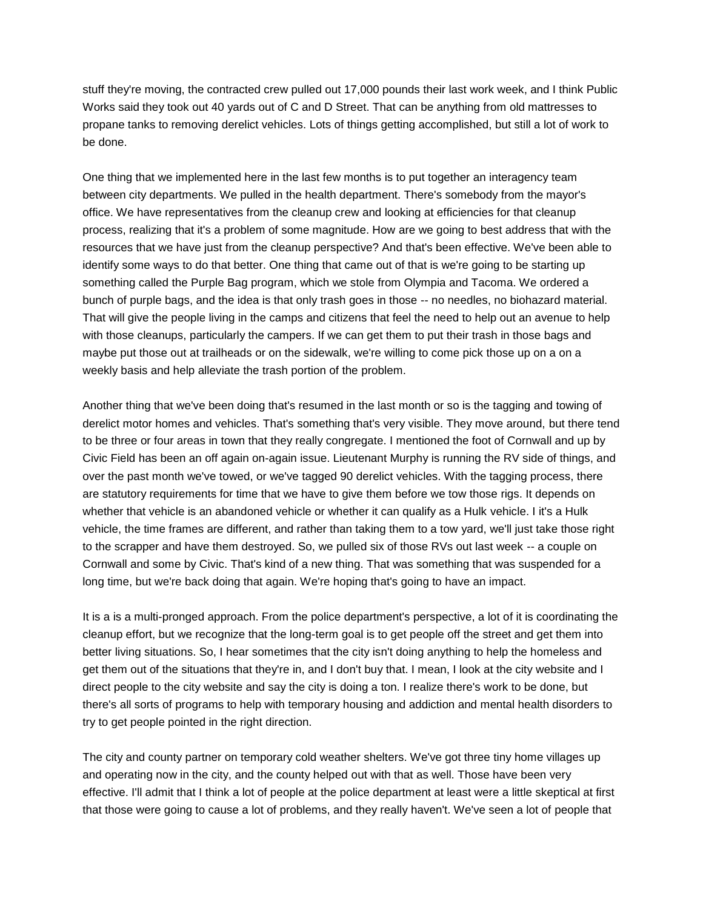stuff they're moving, the contracted crew pulled out 17,000 pounds their last work week, and I think Public Works said they took out 40 yards out of C and D Street. That can be anything from old mattresses to propane tanks to removing derelict vehicles. Lots of things getting accomplished, but still a lot of work to be done.

One thing that we implemented here in the last few months is to put together an interagency team between city departments. We pulled in the health department. There's somebody from the mayor's office. We have representatives from the cleanup crew and looking at efficiencies for that cleanup process, realizing that it's a problem of some magnitude. How are we going to best address that with the resources that we have just from the cleanup perspective? And that's been effective. We've been able to identify some ways to do that better. One thing that came out of that is we're going to be starting up something called the Purple Bag program, which we stole from Olympia and Tacoma. We ordered a bunch of purple bags, and the idea is that only trash goes in those -- no needles, no biohazard material. That will give the people living in the camps and citizens that feel the need to help out an avenue to help with those cleanups, particularly the campers. If we can get them to put their trash in those bags and maybe put those out at trailheads or on the sidewalk, we're willing to come pick those up on a on a weekly basis and help alleviate the trash portion of the problem.

Another thing that we've been doing that's resumed in the last month or so is the tagging and towing of derelict motor homes and vehicles. That's something that's very visible. They move around, but there tend to be three or four areas in town that they really congregate. I mentioned the foot of Cornwall and up by Civic Field has been an off again on-again issue. Lieutenant Murphy is running the RV side of things, and over the past month we've towed, or we've tagged 90 derelict vehicles. With the tagging process, there are statutory requirements for time that we have to give them before we tow those rigs. It depends on whether that vehicle is an abandoned vehicle or whether it can qualify as a Hulk vehicle. I it's a Hulk vehicle, the time frames are different, and rather than taking them to a tow yard, we'll just take those right to the scrapper and have them destroyed. So, we pulled six of those RVs out last week -- a couple on Cornwall and some by Civic. That's kind of a new thing. That was something that was suspended for a long time, but we're back doing that again. We're hoping that's going to have an impact.

It is a is a multi-pronged approach. From the police department's perspective, a lot of it is coordinating the cleanup effort, but we recognize that the long-term goal is to get people off the street and get them into better living situations. So, I hear sometimes that the city isn't doing anything to help the homeless and get them out of the situations that they're in, and I don't buy that. I mean, I look at the city website and I direct people to the city website and say the city is doing a ton. I realize there's work to be done, but there's all sorts of programs to help with temporary housing and addiction and mental health disorders to try to get people pointed in the right direction.

The city and county partner on temporary cold weather shelters. We've got three tiny home villages up and operating now in the city, and the county helped out with that as well. Those have been very effective. I'll admit that I think a lot of people at the police department at least were a little skeptical at first that those were going to cause a lot of problems, and they really haven't. We've seen a lot of people that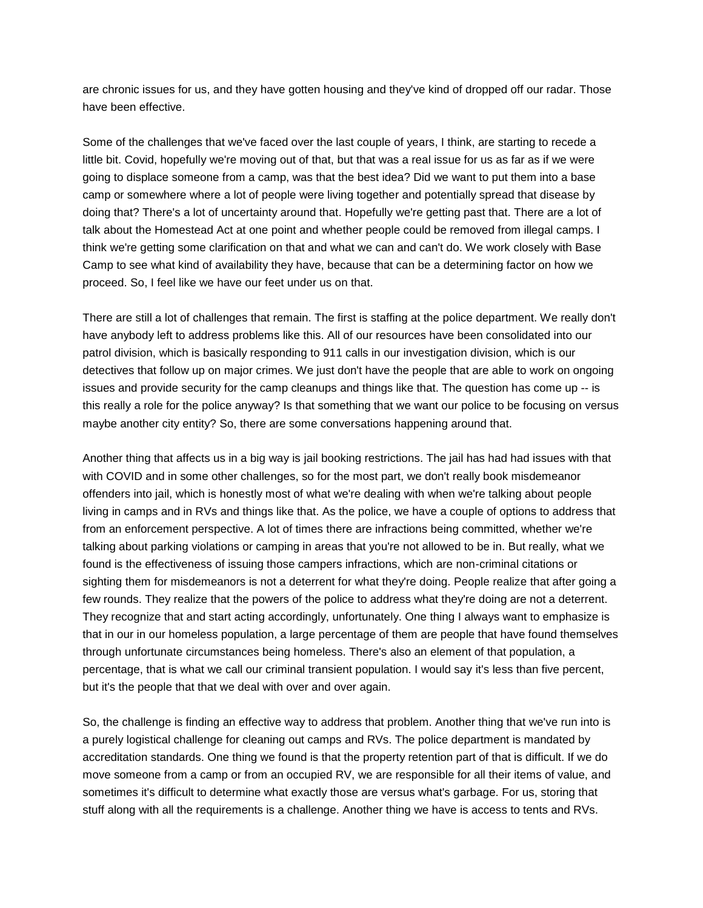are chronic issues for us, and they have gotten housing and they've kind of dropped off our radar. Those have been effective.

Some of the challenges that we've faced over the last couple of years, I think, are starting to recede a little bit. Covid, hopefully we're moving out of that, but that was a real issue for us as far as if we were going to displace someone from a camp, was that the best idea? Did we want to put them into a base camp or somewhere where a lot of people were living together and potentially spread that disease by doing that? There's a lot of uncertainty around that. Hopefully we're getting past that. There are a lot of talk about the Homestead Act at one point and whether people could be removed from illegal camps. I think we're getting some clarification on that and what we can and can't do. We work closely with Base Camp to see what kind of availability they have, because that can be a determining factor on how we proceed. So, I feel like we have our feet under us on that.

There are still a lot of challenges that remain. The first is staffing at the police department. We really don't have anybody left to address problems like this. All of our resources have been consolidated into our patrol division, which is basically responding to 911 calls in our investigation division, which is our detectives that follow up on major crimes. We just don't have the people that are able to work on ongoing issues and provide security for the camp cleanups and things like that. The question has come up -- is this really a role for the police anyway? Is that something that we want our police to be focusing on versus maybe another city entity? So, there are some conversations happening around that.

Another thing that affects us in a big way is jail booking restrictions. The jail has had had issues with that with COVID and in some other challenges, so for the most part, we don't really book misdemeanor offenders into jail, which is honestly most of what we're dealing with when we're talking about people living in camps and in RVs and things like that. As the police, we have a couple of options to address that from an enforcement perspective. A lot of times there are infractions being committed, whether we're talking about parking violations or camping in areas that you're not allowed to be in. But really, what we found is the effectiveness of issuing those campers infractions, which are non-criminal citations or sighting them for misdemeanors is not a deterrent for what they're doing. People realize that after going a few rounds. They realize that the powers of the police to address what they're doing are not a deterrent. They recognize that and start acting accordingly, unfortunately. One thing I always want to emphasize is that in our in our homeless population, a large percentage of them are people that have found themselves through unfortunate circumstances being homeless. There's also an element of that population, a percentage, that is what we call our criminal transient population. I would say it's less than five percent, but it's the people that that we deal with over and over again.

So, the challenge is finding an effective way to address that problem. Another thing that we've run into is a purely logistical challenge for cleaning out camps and RVs. The police department is mandated by accreditation standards. One thing we found is that the property retention part of that is difficult. If we do move someone from a camp or from an occupied RV, we are responsible for all their items of value, and sometimes it's difficult to determine what exactly those are versus what's garbage. For us, storing that stuff along with all the requirements is a challenge. Another thing we have is access to tents and RVs.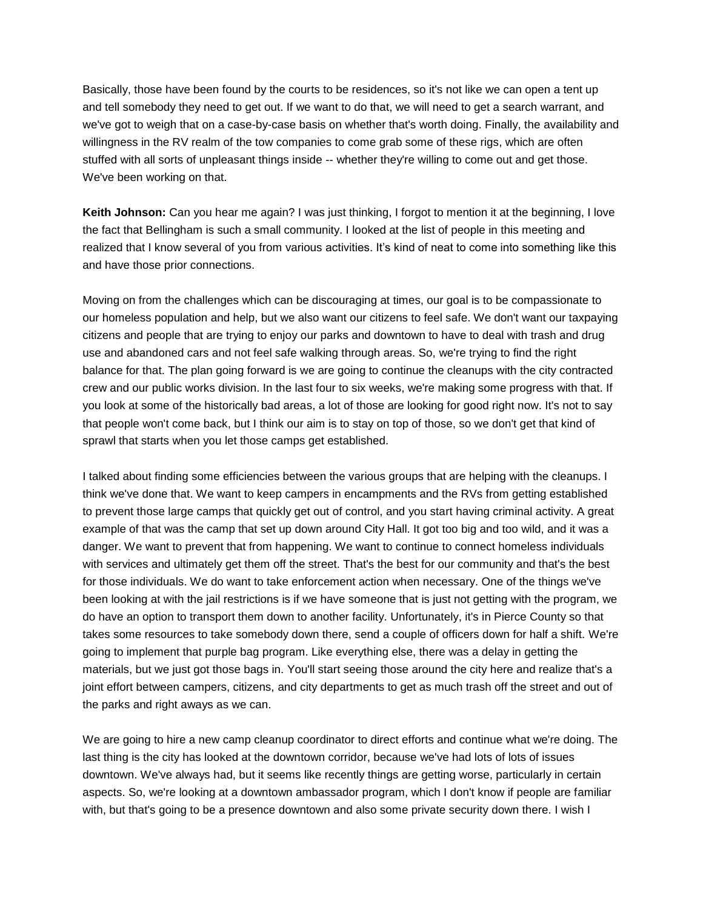Basically, those have been found by the courts to be residences, so it's not like we can open a tent up and tell somebody they need to get out. If we want to do that, we will need to get a search warrant, and we've got to weigh that on a case-by-case basis on whether that's worth doing. Finally, the availability and willingness in the RV realm of the tow companies to come grab some of these rigs, which are often stuffed with all sorts of unpleasant things inside -- whether they're willing to come out and get those. We've been working on that.

**Keith Johnson:** Can you hear me again? I was just thinking, I forgot to mention it at the beginning, I love the fact that Bellingham is such a small community. I looked at the list of people in this meeting and realized that I know several of you from various activities. It's kind of neat to come into something like this and have those prior connections.

Moving on from the challenges which can be discouraging at times, our goal is to be compassionate to our homeless population and help, but we also want our citizens to feel safe. We don't want our taxpaying citizens and people that are trying to enjoy our parks and downtown to have to deal with trash and drug use and abandoned cars and not feel safe walking through areas. So, we're trying to find the right balance for that. The plan going forward is we are going to continue the cleanups with the city contracted crew and our public works division. In the last four to six weeks, we're making some progress with that. If you look at some of the historically bad areas, a lot of those are looking for good right now. It's not to say that people won't come back, but I think our aim is to stay on top of those, so we don't get that kind of sprawl that starts when you let those camps get established.

I talked about finding some efficiencies between the various groups that are helping with the cleanups. I think we've done that. We want to keep campers in encampments and the RVs from getting established to prevent those large camps that quickly get out of control, and you start having criminal activity. A great example of that was the camp that set up down around City Hall. It got too big and too wild, and it was a danger. We want to prevent that from happening. We want to continue to connect homeless individuals with services and ultimately get them off the street. That's the best for our community and that's the best for those individuals. We do want to take enforcement action when necessary. One of the things we've been looking at with the jail restrictions is if we have someone that is just not getting with the program, we do have an option to transport them down to another facility. Unfortunately, it's in Pierce County so that takes some resources to take somebody down there, send a couple of officers down for half a shift. We're going to implement that purple bag program. Like everything else, there was a delay in getting the materials, but we just got those bags in. You'll start seeing those around the city here and realize that's a joint effort between campers, citizens, and city departments to get as much trash off the street and out of the parks and right aways as we can.

We are going to hire a new camp cleanup coordinator to direct efforts and continue what we're doing. The last thing is the city has looked at the downtown corridor, because we've had lots of lots of issues downtown. We've always had, but it seems like recently things are getting worse, particularly in certain aspects. So, we're looking at a downtown ambassador program, which I don't know if people are familiar with, but that's going to be a presence downtown and also some private security down there. I wish I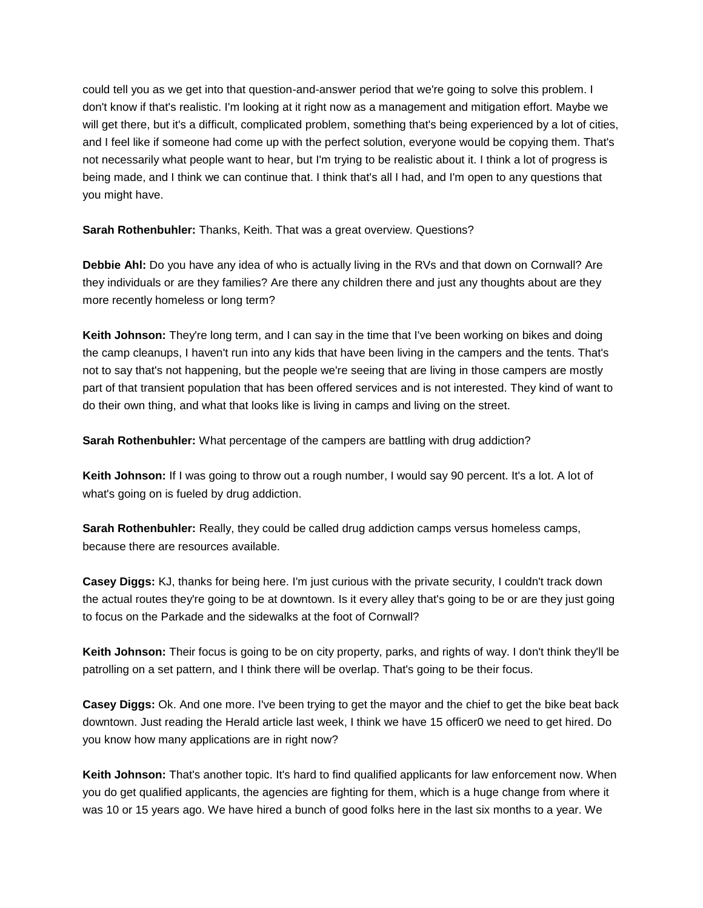could tell you as we get into that question-and-answer period that we're going to solve this problem. I don't know if that's realistic. I'm looking at it right now as a management and mitigation effort. Maybe we will get there, but it's a difficult, complicated problem, something that's being experienced by a lot of cities, and I feel like if someone had come up with the perfect solution, everyone would be copying them. That's not necessarily what people want to hear, but I'm trying to be realistic about it. I think a lot of progress is being made, and I think we can continue that. I think that's all I had, and I'm open to any questions that you might have.

**Sarah Rothenbuhler:** Thanks, Keith. That was a great overview. Questions?

**Debbie Ahl:** Do you have any idea of who is actually living in the RVs and that down on Cornwall? Are they individuals or are they families? Are there any children there and just any thoughts about are they more recently homeless or long term?

**Keith Johnson:** They're long term, and I can say in the time that I've been working on bikes and doing the camp cleanups, I haven't run into any kids that have been living in the campers and the tents. That's not to say that's not happening, but the people we're seeing that are living in those campers are mostly part of that transient population that has been offered services and is not interested. They kind of want to do their own thing, and what that looks like is living in camps and living on the street.

**Sarah Rothenbuhler:** What percentage of the campers are battling with drug addiction?

**Keith Johnson:** If I was going to throw out a rough number, I would say 90 percent. It's a lot. A lot of what's going on is fueled by drug addiction.

**Sarah Rothenbuhler:** Really, they could be called drug addiction camps versus homeless camps, because there are resources available.

**Casey Diggs:** KJ, thanks for being here. I'm just curious with the private security, I couldn't track down the actual routes they're going to be at downtown. Is it every alley that's going to be or are they just going to focus on the Parkade and the sidewalks at the foot of Cornwall?

**Keith Johnson:** Their focus is going to be on city property, parks, and rights of way. I don't think they'll be patrolling on a set pattern, and I think there will be overlap. That's going to be their focus.

**Casey Diggs:** Ok. And one more. I've been trying to get the mayor and the chief to get the bike beat back downtown. Just reading the Herald article last week, I think we have 15 officer0 we need to get hired. Do you know how many applications are in right now?

**Keith Johnson:** That's another topic. It's hard to find qualified applicants for law enforcement now. When you do get qualified applicants, the agencies are fighting for them, which is a huge change from where it was 10 or 15 years ago. We have hired a bunch of good folks here in the last six months to a year. We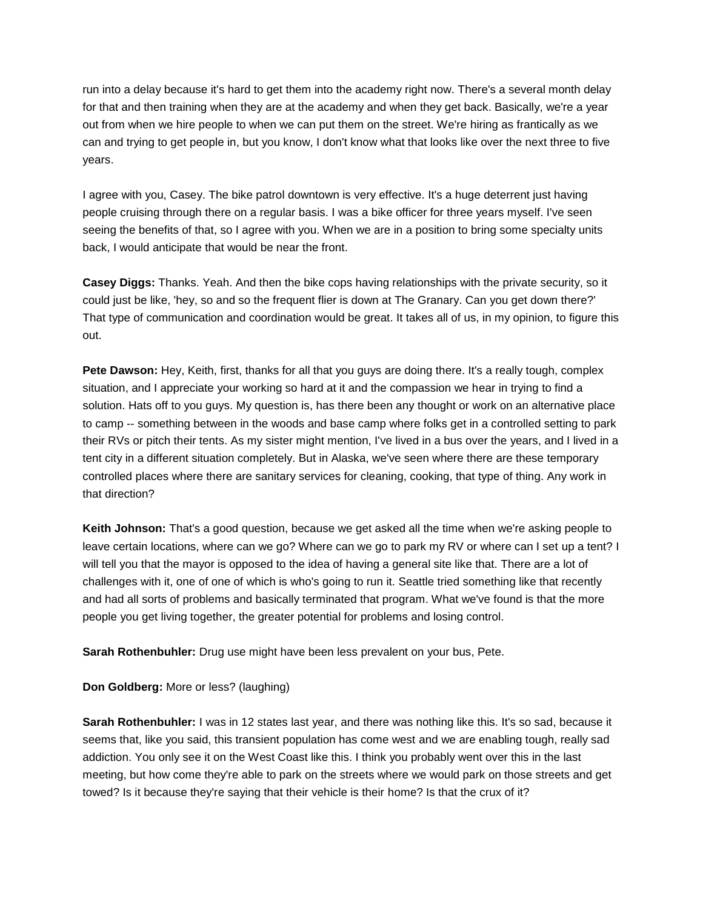run into a delay because it's hard to get them into the academy right now. There's a several month delay for that and then training when they are at the academy and when they get back. Basically, we're a year out from when we hire people to when we can put them on the street. We're hiring as frantically as we can and trying to get people in, but you know, I don't know what that looks like over the next three to five years.

I agree with you, Casey. The bike patrol downtown is very effective. It's a huge deterrent just having people cruising through there on a regular basis. I was a bike officer for three years myself. I've seen seeing the benefits of that, so I agree with you. When we are in a position to bring some specialty units back, I would anticipate that would be near the front.

**Casey Diggs:** Thanks. Yeah. And then the bike cops having relationships with the private security, so it could just be like, 'hey, so and so the frequent flier is down at The Granary. Can you get down there?' That type of communication and coordination would be great. It takes all of us, in my opinion, to figure this out.

**Pete Dawson:** Hey, Keith, first, thanks for all that you guys are doing there. It's a really tough, complex situation, and I appreciate your working so hard at it and the compassion we hear in trying to find a solution. Hats off to you guys. My question is, has there been any thought or work on an alternative place to camp -- something between in the woods and base camp where folks get in a controlled setting to park their RVs or pitch their tents. As my sister might mention, I've lived in a bus over the years, and I lived in a tent city in a different situation completely. But in Alaska, we've seen where there are these temporary controlled places where there are sanitary services for cleaning, cooking, that type of thing. Any work in that direction?

**Keith Johnson:** That's a good question, because we get asked all the time when we're asking people to leave certain locations, where can we go? Where can we go to park my RV or where can I set up a tent? I will tell you that the mayor is opposed to the idea of having a general site like that. There are a lot of challenges with it, one of one of which is who's going to run it. Seattle tried something like that recently and had all sorts of problems and basically terminated that program. What we've found is that the more people you get living together, the greater potential for problems and losing control.

**Sarah Rothenbuhler:** Drug use might have been less prevalent on your bus, Pete.

**Don Goldberg:** More or less? (laughing)

**Sarah Rothenbuhler:** I was in 12 states last year, and there was nothing like this. It's so sad, because it seems that, like you said, this transient population has come west and we are enabling tough, really sad addiction. You only see it on the West Coast like this. I think you probably went over this in the last meeting, but how come they're able to park on the streets where we would park on those streets and get towed? Is it because they're saying that their vehicle is their home? Is that the crux of it?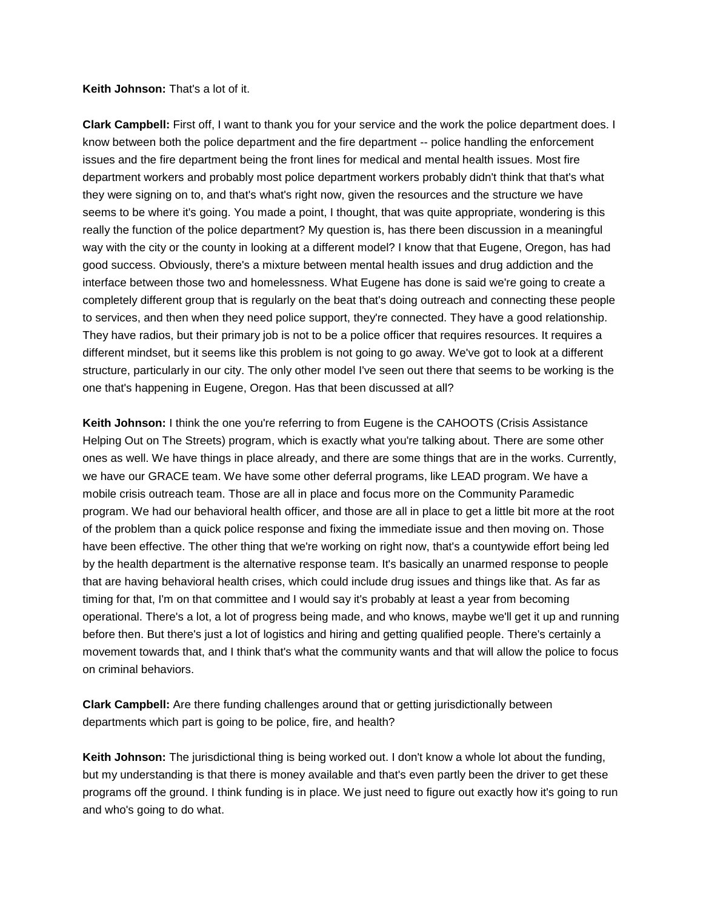**Keith Johnson:** That's a lot of it.

**Clark Campbell:** First off, I want to thank you for your service and the work the police department does. I know between both the police department and the fire department -- police handling the enforcement issues and the fire department being the front lines for medical and mental health issues. Most fire department workers and probably most police department workers probably didn't think that that's what they were signing on to, and that's what's right now, given the resources and the structure we have seems to be where it's going. You made a point, I thought, that was quite appropriate, wondering is this really the function of the police department? My question is, has there been discussion in a meaningful way with the city or the county in looking at a different model? I know that that Eugene, Oregon, has had good success. Obviously, there's a mixture between mental health issues and drug addiction and the interface between those two and homelessness. What Eugene has done is said we're going to create a completely different group that is regularly on the beat that's doing outreach and connecting these people to services, and then when they need police support, they're connected. They have a good relationship. They have radios, but their primary job is not to be a police officer that requires resources. It requires a different mindset, but it seems like this problem is not going to go away. We've got to look at a different structure, particularly in our city. The only other model I've seen out there that seems to be working is the one that's happening in Eugene, Oregon. Has that been discussed at all?

**Keith Johnson:** I think the one you're referring to from Eugene is the CAHOOTS (Crisis Assistance Helping Out on The Streets) program, which is exactly what you're talking about. There are some other ones as well. We have things in place already, and there are some things that are in the works. Currently, we have our GRACE team. We have some other deferral programs, like LEAD program. We have a mobile crisis outreach team. Those are all in place and focus more on the Community Paramedic program. We had our behavioral health officer, and those are all in place to get a little bit more at the root of the problem than a quick police response and fixing the immediate issue and then moving on. Those have been effective. The other thing that we're working on right now, that's a countywide effort being led by the health department is the alternative response team. It's basically an unarmed response to people that are having behavioral health crises, which could include drug issues and things like that. As far as timing for that, I'm on that committee and I would say it's probably at least a year from becoming operational. There's a lot, a lot of progress being made, and who knows, maybe we'll get it up and running before then. But there's just a lot of logistics and hiring and getting qualified people. There's certainly a movement towards that, and I think that's what the community wants and that will allow the police to focus on criminal behaviors.

**Clark Campbell:** Are there funding challenges around that or getting jurisdictionally between departments which part is going to be police, fire, and health?

**Keith Johnson:** The jurisdictional thing is being worked out. I don't know a whole lot about the funding, but my understanding is that there is money available and that's even partly been the driver to get these programs off the ground. I think funding is in place. We just need to figure out exactly how it's going to run and who's going to do what.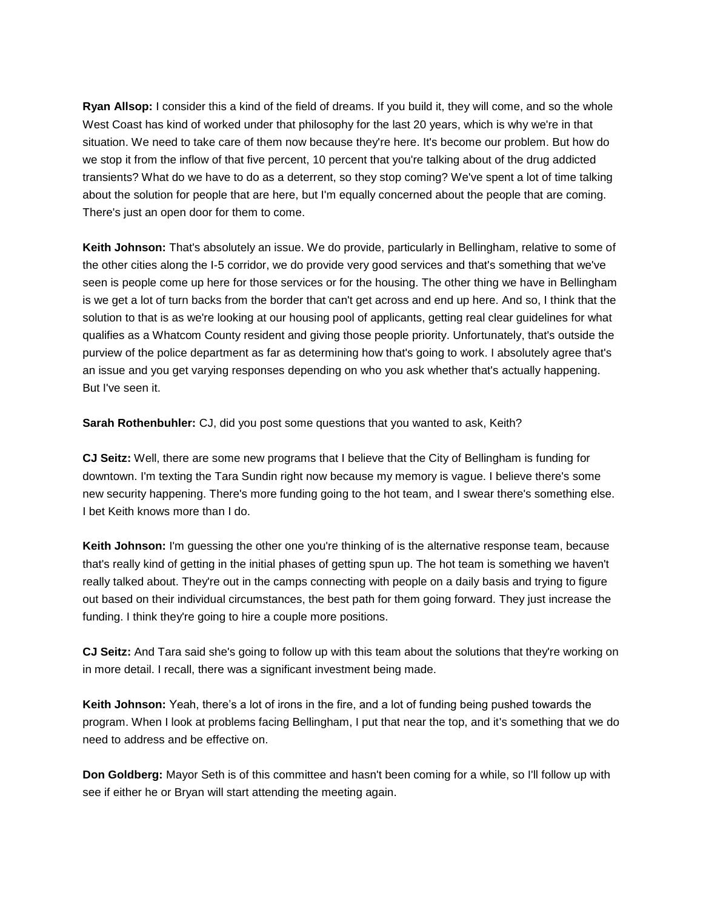**Ryan Allsop:** I consider this a kind of the field of dreams. If you build it, they will come, and so the whole West Coast has kind of worked under that philosophy for the last 20 years, which is why we're in that situation. We need to take care of them now because they're here. It's become our problem. But how do we stop it from the inflow of that five percent, 10 percent that you're talking about of the drug addicted transients? What do we have to do as a deterrent, so they stop coming? We've spent a lot of time talking about the solution for people that are here, but I'm equally concerned about the people that are coming. There's just an open door for them to come.

**Keith Johnson:** That's absolutely an issue. We do provide, particularly in Bellingham, relative to some of the other cities along the I-5 corridor, we do provide very good services and that's something that we've seen is people come up here for those services or for the housing. The other thing we have in Bellingham is we get a lot of turn backs from the border that can't get across and end up here. And so, I think that the solution to that is as we're looking at our housing pool of applicants, getting real clear guidelines for what qualifies as a Whatcom County resident and giving those people priority. Unfortunately, that's outside the purview of the police department as far as determining how that's going to work. I absolutely agree that's an issue and you get varying responses depending on who you ask whether that's actually happening. But I've seen it.

**Sarah Rothenbuhler:** CJ, did you post some questions that you wanted to ask, Keith?

**CJ Seitz:** Well, there are some new programs that I believe that the City of Bellingham is funding for downtown. I'm texting the Tara Sundin right now because my memory is vague. I believe there's some new security happening. There's more funding going to the hot team, and I swear there's something else. I bet Keith knows more than I do.

**Keith Johnson:** I'm guessing the other one you're thinking of is the alternative response team, because that's really kind of getting in the initial phases of getting spun up. The hot team is something we haven't really talked about. They're out in the camps connecting with people on a daily basis and trying to figure out based on their individual circumstances, the best path for them going forward. They just increase the funding. I think they're going to hire a couple more positions.

**CJ Seitz:** And Tara said she's going to follow up with this team about the solutions that they're working on in more detail. I recall, there was a significant investment being made.

**Keith Johnson:** Yeah, there's a lot of irons in the fire, and a lot of funding being pushed towards the program. When I look at problems facing Bellingham, I put that near the top, and it's something that we do need to address and be effective on.

**Don Goldberg:** Mayor Seth is of this committee and hasn't been coming for a while, so I'll follow up with see if either he or Bryan will start attending the meeting again.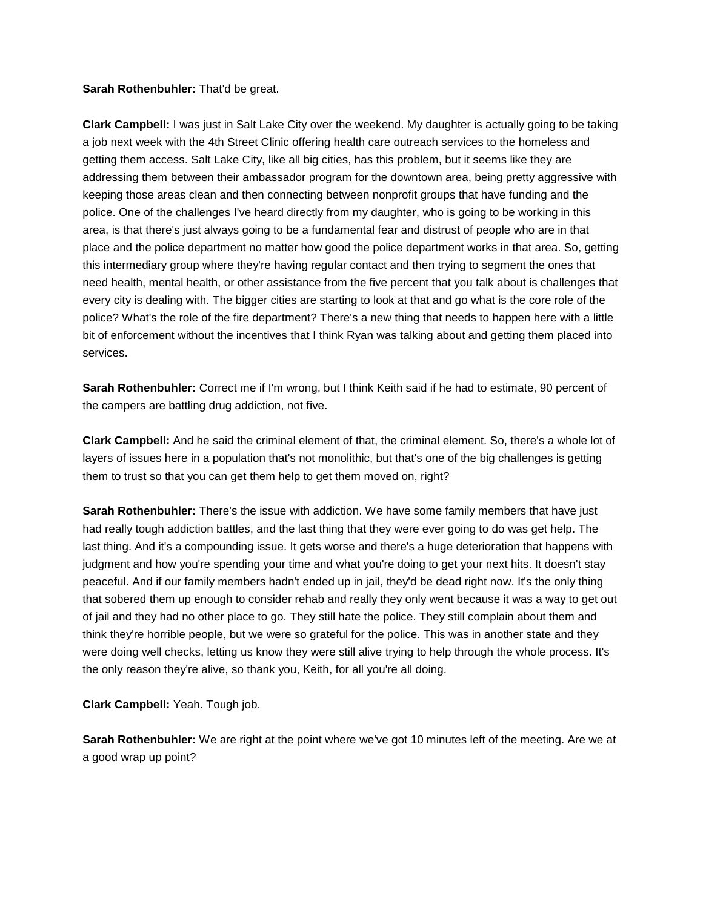### **Sarah Rothenbuhler:** That'd be great.

**Clark Campbell:** I was just in Salt Lake City over the weekend. My daughter is actually going to be taking a job next week with the 4th Street Clinic offering health care outreach services to the homeless and getting them access. Salt Lake City, like all big cities, has this problem, but it seems like they are addressing them between their ambassador program for the downtown area, being pretty aggressive with keeping those areas clean and then connecting between nonprofit groups that have funding and the police. One of the challenges I've heard directly from my daughter, who is going to be working in this area, is that there's just always going to be a fundamental fear and distrust of people who are in that place and the police department no matter how good the police department works in that area. So, getting this intermediary group where they're having regular contact and then trying to segment the ones that need health, mental health, or other assistance from the five percent that you talk about is challenges that every city is dealing with. The bigger cities are starting to look at that and go what is the core role of the police? What's the role of the fire department? There's a new thing that needs to happen here with a little bit of enforcement without the incentives that I think Ryan was talking about and getting them placed into services.

**Sarah Rothenbuhler:** Correct me if I'm wrong, but I think Keith said if he had to estimate, 90 percent of the campers are battling drug addiction, not five.

**Clark Campbell:** And he said the criminal element of that, the criminal element. So, there's a whole lot of layers of issues here in a population that's not monolithic, but that's one of the big challenges is getting them to trust so that you can get them help to get them moved on, right?

**Sarah Rothenbuhler:** There's the issue with addiction. We have some family members that have just had really tough addiction battles, and the last thing that they were ever going to do was get help. The last thing. And it's a compounding issue. It gets worse and there's a huge deterioration that happens with judgment and how you're spending your time and what you're doing to get your next hits. It doesn't stay peaceful. And if our family members hadn't ended up in jail, they'd be dead right now. It's the only thing that sobered them up enough to consider rehab and really they only went because it was a way to get out of jail and they had no other place to go. They still hate the police. They still complain about them and think they're horrible people, but we were so grateful for the police. This was in another state and they were doing well checks, letting us know they were still alive trying to help through the whole process. It's the only reason they're alive, so thank you, Keith, for all you're all doing.

**Clark Campbell:** Yeah. Tough job.

**Sarah Rothenbuhler:** We are right at the point where we've got 10 minutes left of the meeting. Are we at a good wrap up point?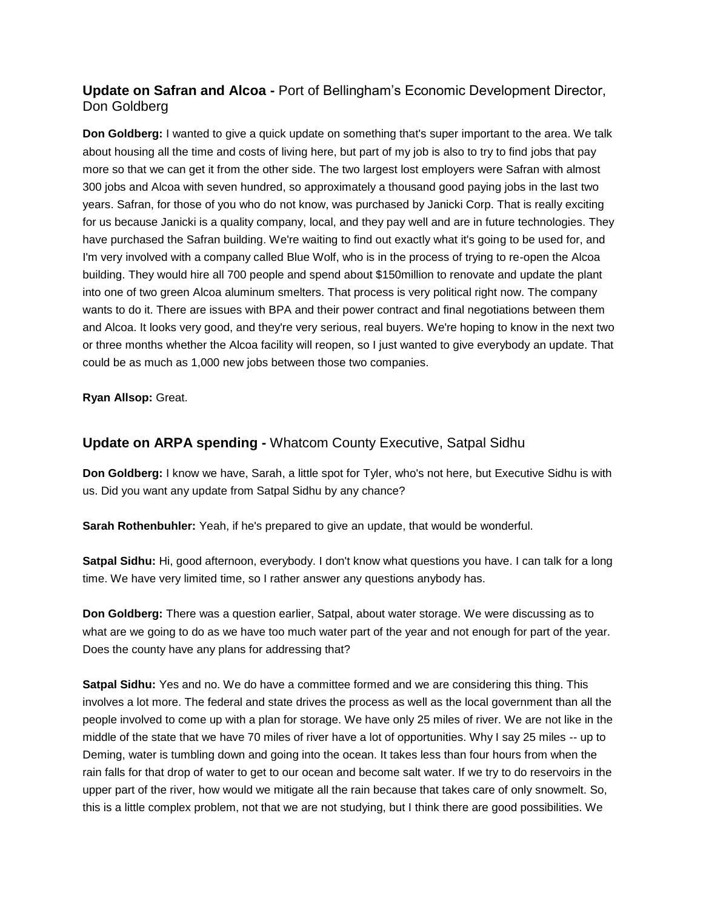# **Update on Safran and Alcoa -** Port of Bellingham's Economic Development Director, Don Goldberg

**Don Goldberg:** I wanted to give a quick update on something that's super important to the area. We talk about housing all the time and costs of living here, but part of my job is also to try to find jobs that pay more so that we can get it from the other side. The two largest lost employers were Safran with almost 300 jobs and Alcoa with seven hundred, so approximately a thousand good paying jobs in the last two years. Safran, for those of you who do not know, was purchased by Janicki Corp. That is really exciting for us because Janicki is a quality company, local, and they pay well and are in future technologies. They have purchased the Safran building. We're waiting to find out exactly what it's going to be used for, and I'm very involved with a company called Blue Wolf, who is in the process of trying to re-open the Alcoa building. They would hire all 700 people and spend about \$150million to renovate and update the plant into one of two green Alcoa aluminum smelters. That process is very political right now. The company wants to do it. There are issues with BPA and their power contract and final negotiations between them and Alcoa. It looks very good, and they're very serious, real buyers. We're hoping to know in the next two or three months whether the Alcoa facility will reopen, so I just wanted to give everybody an update. That could be as much as 1,000 new jobs between those two companies.

**Ryan Allsop:** Great.

# **Update on ARPA spending -** Whatcom County Executive, Satpal Sidhu

**Don Goldberg:** I know we have, Sarah, a little spot for Tyler, who's not here, but Executive Sidhu is with us. Did you want any update from Satpal Sidhu by any chance?

**Sarah Rothenbuhler:** Yeah, if he's prepared to give an update, that would be wonderful.

**Satpal Sidhu:** Hi, good afternoon, everybody. I don't know what questions you have. I can talk for a long time. We have very limited time, so I rather answer any questions anybody has.

**Don Goldberg:** There was a question earlier, Satpal, about water storage. We were discussing as to what are we going to do as we have too much water part of the year and not enough for part of the year. Does the county have any plans for addressing that?

**Satpal Sidhu:** Yes and no. We do have a committee formed and we are considering this thing. This involves a lot more. The federal and state drives the process as well as the local government than all the people involved to come up with a plan for storage. We have only 25 miles of river. We are not like in the middle of the state that we have 70 miles of river have a lot of opportunities. Why I say 25 miles -- up to Deming, water is tumbling down and going into the ocean. It takes less than four hours from when the rain falls for that drop of water to get to our ocean and become salt water. If we try to do reservoirs in the upper part of the river, how would we mitigate all the rain because that takes care of only snowmelt. So, this is a little complex problem, not that we are not studying, but I think there are good possibilities. We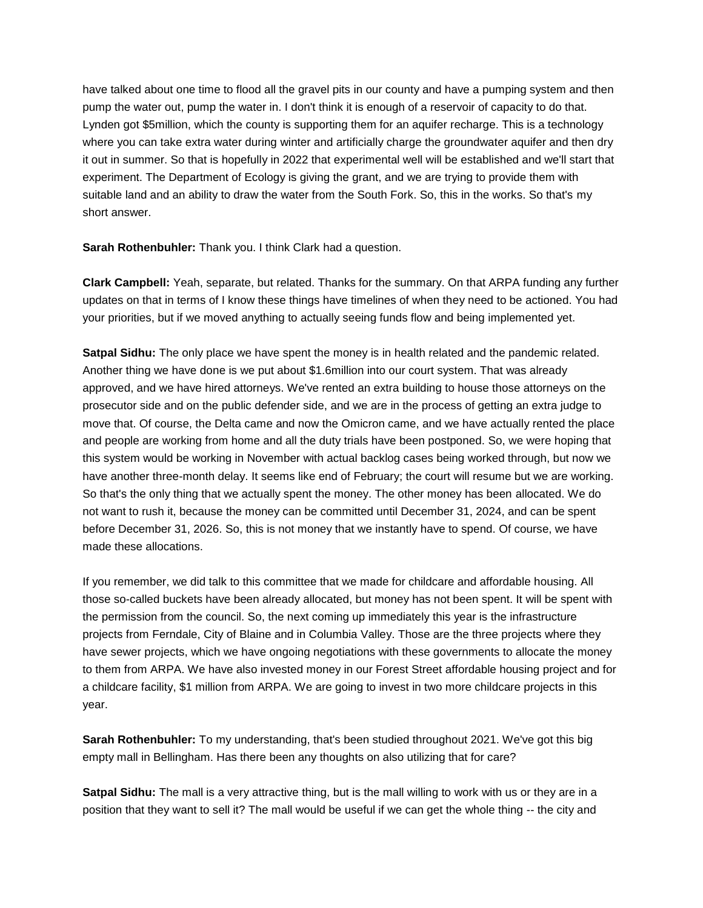have talked about one time to flood all the gravel pits in our county and have a pumping system and then pump the water out, pump the water in. I don't think it is enough of a reservoir of capacity to do that. Lynden got \$5million, which the county is supporting them for an aquifer recharge. This is a technology where you can take extra water during winter and artificially charge the groundwater aquifer and then dry it out in summer. So that is hopefully in 2022 that experimental well will be established and we'll start that experiment. The Department of Ecology is giving the grant, and we are trying to provide them with suitable land and an ability to draw the water from the South Fork. So, this in the works. So that's my short answer.

**Sarah Rothenbuhler:** Thank you. I think Clark had a question.

**Clark Campbell:** Yeah, separate, but related. Thanks for the summary. On that ARPA funding any further updates on that in terms of I know these things have timelines of when they need to be actioned. You had your priorities, but if we moved anything to actually seeing funds flow and being implemented yet.

**Satpal Sidhu:** The only place we have spent the money is in health related and the pandemic related. Another thing we have done is we put about \$1.6million into our court system. That was already approved, and we have hired attorneys. We've rented an extra building to house those attorneys on the prosecutor side and on the public defender side, and we are in the process of getting an extra judge to move that. Of course, the Delta came and now the Omicron came, and we have actually rented the place and people are working from home and all the duty trials have been postponed. So, we were hoping that this system would be working in November with actual backlog cases being worked through, but now we have another three-month delay. It seems like end of February; the court will resume but we are working. So that's the only thing that we actually spent the money. The other money has been allocated. We do not want to rush it, because the money can be committed until December 31, 2024, and can be spent before December 31, 2026. So, this is not money that we instantly have to spend. Of course, we have made these allocations.

If you remember, we did talk to this committee that we made for childcare and affordable housing. All those so-called buckets have been already allocated, but money has not been spent. It will be spent with the permission from the council. So, the next coming up immediately this year is the infrastructure projects from Ferndale, City of Blaine and in Columbia Valley. Those are the three projects where they have sewer projects, which we have ongoing negotiations with these governments to allocate the money to them from ARPA. We have also invested money in our Forest Street affordable housing project and for a childcare facility, \$1 million from ARPA. We are going to invest in two more childcare projects in this year.

**Sarah Rothenbuhler:** To my understanding, that's been studied throughout 2021. We've got this big empty mall in Bellingham. Has there been any thoughts on also utilizing that for care?

**Satpal Sidhu:** The mall is a very attractive thing, but is the mall willing to work with us or they are in a position that they want to sell it? The mall would be useful if we can get the whole thing -- the city and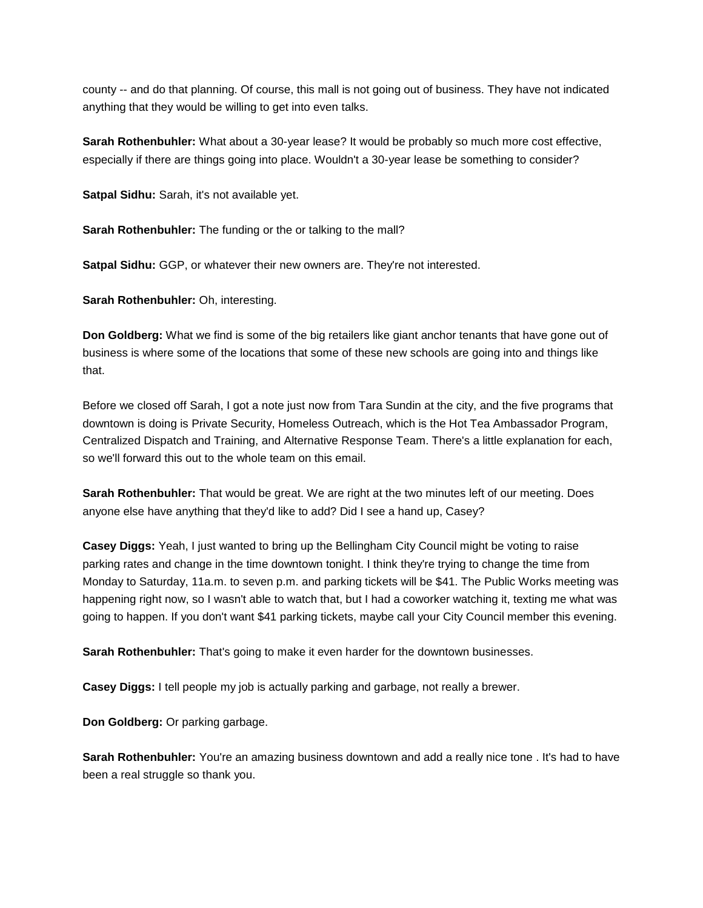county -- and do that planning. Of course, this mall is not going out of business. They have not indicated anything that they would be willing to get into even talks.

**Sarah Rothenbuhler:** What about a 30-year lease? It would be probably so much more cost effective, especially if there are things going into place. Wouldn't a 30-year lease be something to consider?

**Satpal Sidhu:** Sarah, it's not available yet.

**Sarah Rothenbuhler:** The funding or the or talking to the mall?

**Satpal Sidhu:** GGP, or whatever their new owners are. They're not interested.

**Sarah Rothenbuhler:** Oh, interesting.

**Don Goldberg:** What we find is some of the big retailers like giant anchor tenants that have gone out of business is where some of the locations that some of these new schools are going into and things like that.

Before we closed off Sarah, I got a note just now from Tara Sundin at the city, and the five programs that downtown is doing is Private Security, Homeless Outreach, which is the Hot Tea Ambassador Program, Centralized Dispatch and Training, and Alternative Response Team. There's a little explanation for each, so we'll forward this out to the whole team on this email.

**Sarah Rothenbuhler:** That would be great. We are right at the two minutes left of our meeting. Does anyone else have anything that they'd like to add? Did I see a hand up, Casey?

**Casey Diggs:** Yeah, I just wanted to bring up the Bellingham City Council might be voting to raise parking rates and change in the time downtown tonight. I think they're trying to change the time from Monday to Saturday, 11a.m. to seven p.m. and parking tickets will be \$41. The Public Works meeting was happening right now, so I wasn't able to watch that, but I had a coworker watching it, texting me what was going to happen. If you don't want \$41 parking tickets, maybe call your City Council member this evening.

**Sarah Rothenbuhler:** That's going to make it even harder for the downtown businesses.

**Casey Diggs:** I tell people my job is actually parking and garbage, not really a brewer.

**Don Goldberg:** Or parking garbage.

**Sarah Rothenbuhler:** You're an amazing business downtown and add a really nice tone . It's had to have been a real struggle so thank you.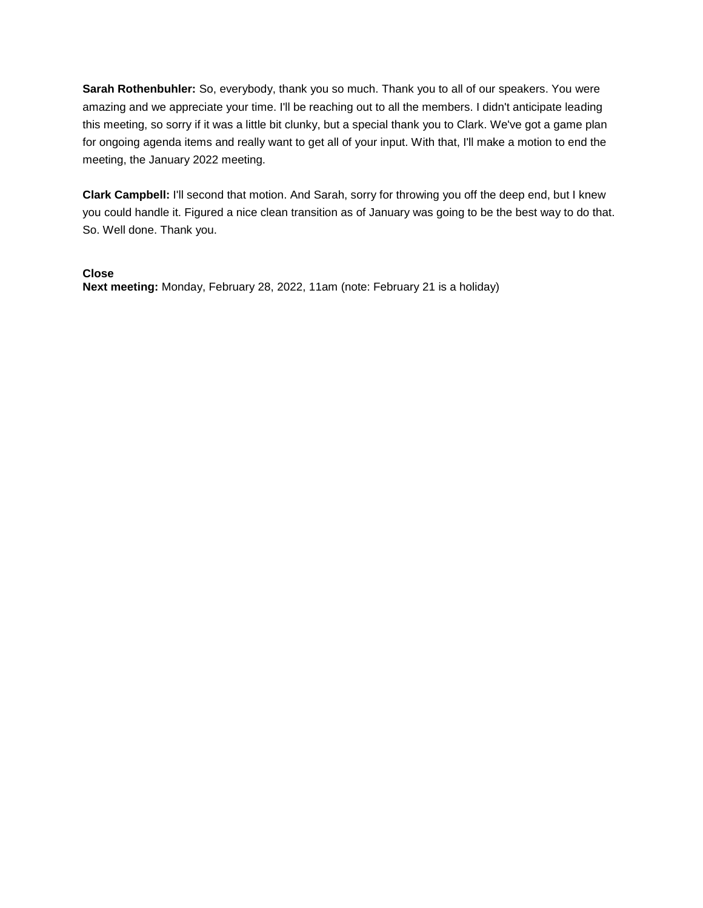**Sarah Rothenbuhler:** So, everybody, thank you so much. Thank you to all of our speakers. You were amazing and we appreciate your time. I'll be reaching out to all the members. I didn't anticipate leading this meeting, so sorry if it was a little bit clunky, but a special thank you to Clark. We've got a game plan for ongoing agenda items and really want to get all of your input. With that, I'll make a motion to end the meeting, the January 2022 meeting.

**Clark Campbell:** I'll second that motion. And Sarah, sorry for throwing you off the deep end, but I knew you could handle it. Figured a nice clean transition as of January was going to be the best way to do that. So. Well done. Thank you.

## **Close**

**Next meeting:** Monday, February 28, 2022, 11am (note: February 21 is a holiday)